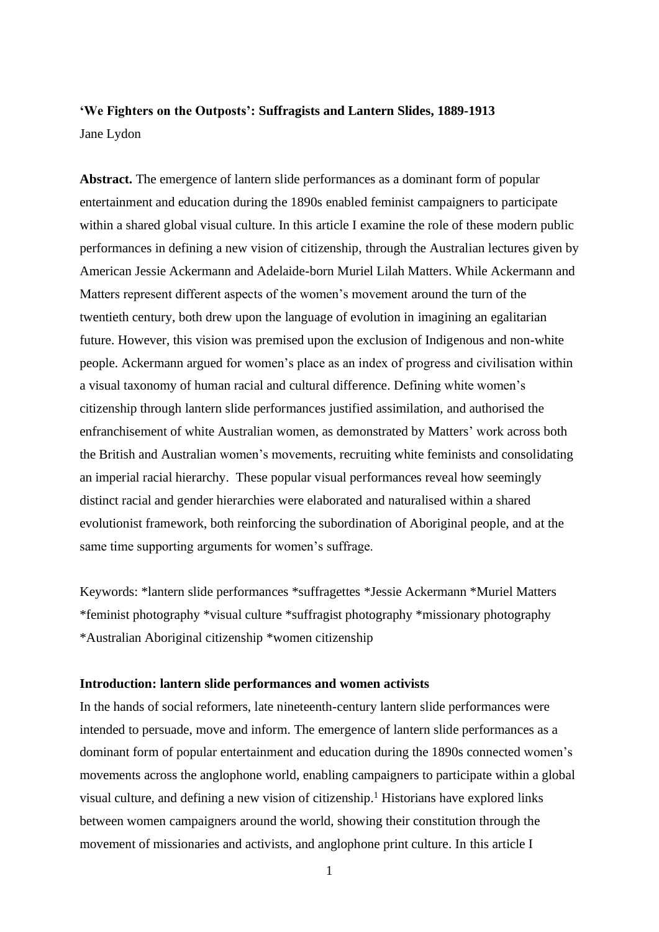# **'We Fighters on the Outposts': Suffragists and Lantern Slides, 1889-1913** Jane Lydon

**Abstract.** The emergence of lantern slide performances as a dominant form of popular entertainment and education during the 1890s enabled feminist campaigners to participate within a shared global visual culture. In this article I examine the role of these modern public performances in defining a new vision of citizenship, through the Australian lectures given by American Jessie Ackermann and Adelaide-born Muriel Lilah Matters. While Ackermann and Matters represent different aspects of the women's movement around the turn of the twentieth century, both drew upon the language of evolution in imagining an egalitarian future. However, this vision was premised upon the exclusion of Indigenous and non-white people. Ackermann argued for women's place as an index of progress and civilisation within a visual taxonomy of human racial and cultural difference. Defining white women's citizenship through lantern slide performances justified assimilation, and authorised the enfranchisement of white Australian women, as demonstrated by Matters' work across both the British and Australian women's movements, recruiting white feminists and consolidating an imperial racial hierarchy. These popular visual performances reveal how seemingly distinct racial and gender hierarchies were elaborated and naturalised within a shared evolutionist framework, both reinforcing the subordination of Aboriginal people, and at the same time supporting arguments for women's suffrage.

Keywords: \*lantern slide performances \*suffragettes \*Jessie Ackermann \*Muriel Matters \*feminist photography \*visual culture \*suffragist photography \*missionary photography \*Australian Aboriginal citizenship \*women citizenship

## **Introduction: lantern slide performances and women activists**

In the hands of social reformers, late nineteenth-century lantern slide performances were intended to persuade, move and inform. The emergence of lantern slide performances as a dominant form of popular entertainment and education during the 1890s connected women's movements across the anglophone world, enabling campaigners to participate within a global visual culture, and defining a new vision of citizenship. <sup>1</sup> Historians have explored links between women campaigners around the world, showing their constitution through the movement of missionaries and activists, and anglophone print culture. In this article I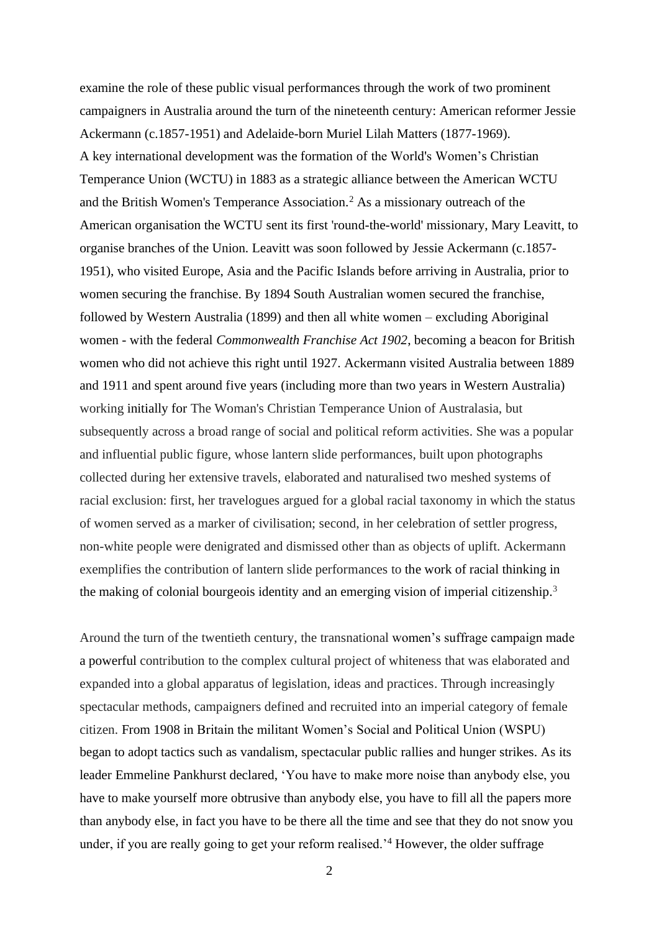examine the role of these public visual performances through the work of two prominent campaigners in Australia around the turn of the nineteenth century: American reformer Jessie Ackermann (c.1857-1951) and Adelaide-born Muriel Lilah Matters (1877-1969). A key international development was the formation of the World's Women's Christian Temperance Union (WCTU) in 1883 as a strategic alliance between the American WCTU and the British Women's Temperance Association.<sup>2</sup> As a missionary outreach of the American organisation the WCTU sent its first 'round-the-world' missionary, Mary Leavitt, to organise branches of the Union. Leavitt was soon followed by Jessie Ackermann (c.1857- 1951), who visited Europe, Asia and the Pacific Islands before arriving in Australia, prior to women securing the franchise. By 1894 South Australian women secured the franchise, followed by Western Australia (1899) and then all white women – excluding Aboriginal women - with the federal *Commonwealth Franchise Act 1902*, becoming a beacon for British women who did not achieve this right until 1927. Ackermann visited Australia between 1889 and 1911 and spent around five years (including more than two years in Western Australia) working initially for The Woman's Christian Temperance Union of Australasia, but subsequently across a broad range of social and political reform activities. She was a popular and influential public figure, whose lantern slide performances, built upon photographs collected during her extensive travels, elaborated and naturalised two meshed systems of racial exclusion: first, her travelogues argued for a global racial taxonomy in which the status of women served as a marker of civilisation; second, in her celebration of settler progress, non-white people were denigrated and dismissed other than as objects of uplift. Ackermann exemplifies the contribution of lantern slide performances to the work of racial thinking in the making of colonial bourgeois identity and an emerging vision of imperial citizenship.<sup>3</sup>

Around the turn of the twentieth century, the transnational women's suffrage campaign made a powerful contribution to the complex cultural project of whiteness that was elaborated and expanded into a global apparatus of legislation, ideas and practices. Through increasingly spectacular methods, campaigners defined and recruited into an imperial category of female citizen. From 1908 in Britain the militant Women's Social and Political Union (WSPU) began to adopt tactics such as vandalism, spectacular public rallies and hunger strikes. As its leader Emmeline Pankhurst declared, 'You have to make more noise than anybody else, you have to make yourself more obtrusive than anybody else, you have to fill all the papers more than anybody else, in fact you have to be there all the time and see that they do not snow you under, if you are really going to get your reform realised.<sup>4</sup> However, the older suffrage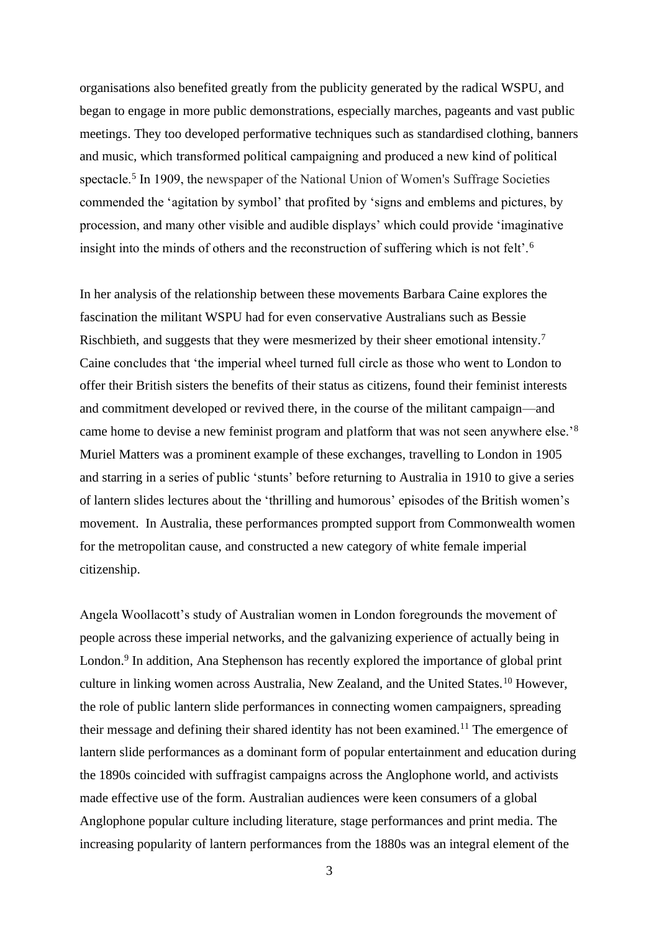organisations also benefited greatly from the publicity generated by the radical WSPU, and began to engage in more public demonstrations, especially marches, pageants and vast public meetings. They too developed performative techniques such as standardised clothing, banners and music, which transformed political campaigning and produced a new kind of political spectacle.<sup>5</sup> In 1909, the newspaper of the National Union of Women's Suffrage Societies commended the 'agitation by symbol' that profited by 'signs and emblems and pictures, by procession, and many other visible and audible displays' which could provide 'imaginative insight into the minds of others and the reconstruction of suffering which is not felt'.<sup>6</sup>

In her analysis of the relationship between these movements Barbara Caine explores the fascination the militant WSPU had for even conservative Australians such as Bessie Rischbieth, and suggests that they were mesmerized by their sheer emotional intensity.<sup>7</sup> Caine concludes that 'the imperial wheel turned full circle as those who went to London to offer their British sisters the benefits of their status as citizens, found their feminist interests and commitment developed or revived there, in the course of the militant campaign—and came home to devise a new feminist program and platform that was not seen anywhere else.'<sup>8</sup> Muriel Matters was a prominent example of these exchanges, travelling to London in 1905 and starring in a series of public 'stunts' before returning to Australia in 1910 to give a series of lantern slides lectures about the 'thrilling and humorous' episodes of the British women's movement. In Australia, these performances prompted support from Commonwealth women for the metropolitan cause, and constructed a new category of white female imperial citizenship.

Angela Woollacott's study of Australian women in London foregrounds the movement of people across these imperial networks, and the galvanizing experience of actually being in London.<sup>9</sup> In addition, Ana Stephenson has recently explored the importance of global print culture in linking women across Australia, New Zealand, and the United States.<sup>10</sup> However, the role of public lantern slide performances in connecting women campaigners, spreading their message and defining their shared identity has not been examined.<sup>11</sup> The emergence of lantern slide performances as a dominant form of popular entertainment and education during the 1890s coincided with suffragist campaigns across the Anglophone world, and activists made effective use of the form. Australian audiences were keen consumers of a global Anglophone popular culture including literature, stage performances and print media. The increasing popularity of lantern performances from the 1880s was an integral element of the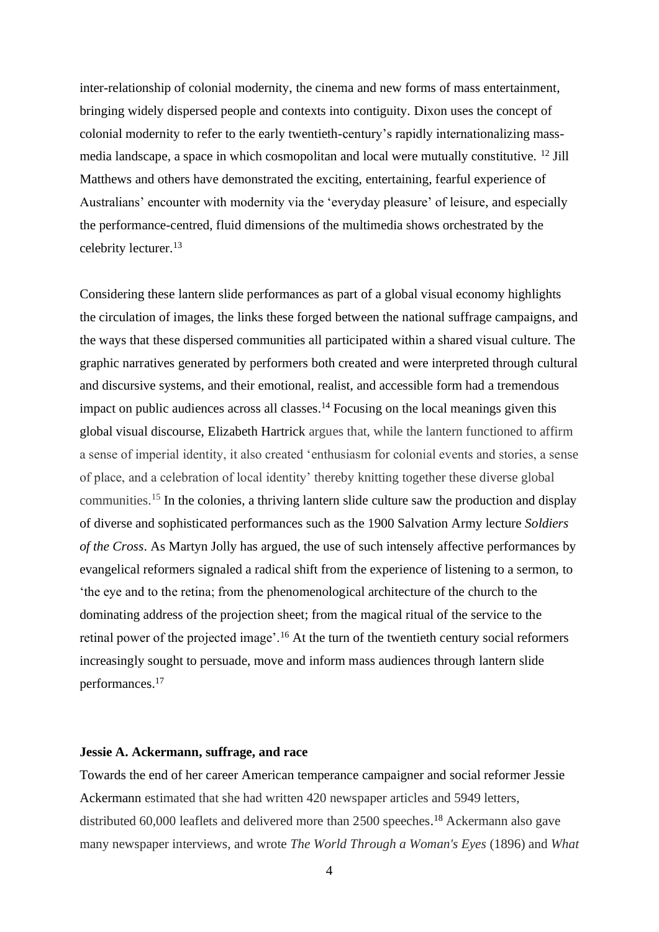inter-relationship of colonial modernity, the cinema and new forms of mass entertainment, bringing widely dispersed people and contexts into contiguity. Dixon uses the concept of colonial modernity to refer to the early twentieth-century's rapidly internationalizing massmedia landscape, a space in which cosmopolitan and local were mutually constitutive. <sup>12</sup> Jill Matthews and others have demonstrated the exciting, entertaining, fearful experience of Australians' encounter with modernity via the 'everyday pleasure' of leisure, and especially the performance-centred, fluid dimensions of the multimedia shows orchestrated by the celebrity lecturer. 13

Considering these lantern slide performances as part of a global visual economy highlights the circulation of images, the links these forged between the national suffrage campaigns, and the ways that these dispersed communities all participated within a shared visual culture. The graphic narratives generated by performers both created and were interpreted through cultural and discursive systems, and their emotional, realist, and accessible form had a tremendous impact on public audiences across all classes. <sup>14</sup> Focusing on the local meanings given this global visual discourse, Elizabeth Hartrick argues that, while the lantern functioned to affirm a sense of imperial identity, it also created 'enthusiasm for colonial events and stories, a sense of place, and a celebration of local identity' thereby knitting together these diverse global communities. <sup>15</sup> In the colonies, a thriving lantern slide culture saw the production and display of diverse and sophisticated performances such as the 1900 Salvation Army lecture *Soldiers of the Cross*. As Martyn Jolly has argued, the use of such intensely affective performances by evangelical reformers signaled a radical shift from the experience of listening to a sermon, to 'the eye and to the retina; from the phenomenological architecture of the church to the dominating address of the projection sheet; from the magical ritual of the service to the retinal power of the projected image'.<sup>16</sup> At the turn of the twentieth century social reformers increasingly sought to persuade, move and inform mass audiences through lantern slide performances. 17

## **Jessie A. Ackermann, suffrage, and race**

Towards the end of her career American temperance campaigner and social reformer Jessie Ackermann estimated that she had written 420 newspaper articles and 5949 letters, distributed 60,000 leaflets and delivered more than 2500 speeches. <sup>18</sup> Ackermann also gave many newspaper interviews, and wrote *The World Through a Woman's Eyes* (1896) and *What*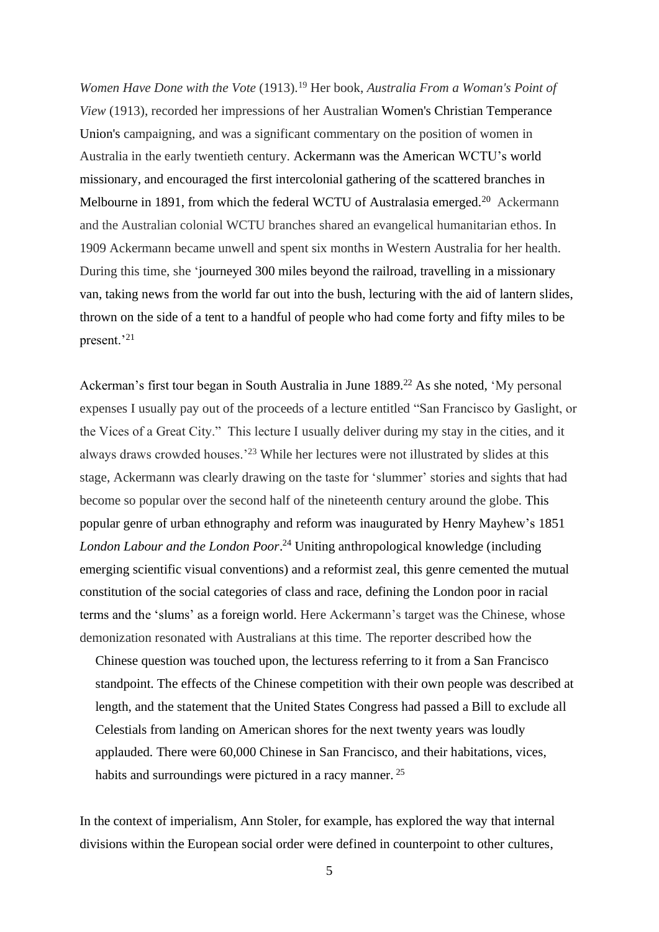*Women Have Done with the Vote* (1913).<sup>19</sup> Her book, *Australia From a Woman's Point of View* (1913), recorded her impressions of her Australian Women's Christian Temperance Union's campaigning, and was a significant commentary on the position of women in Australia in the early twentieth century. Ackermann was the American WCTU's world missionary, and encouraged the first intercolonial gathering of the scattered branches in Melbourne in 1891, from which the federal WCTU of Australasia emerged.<sup>20</sup> Ackermann and the Australian colonial WCTU branches shared an evangelical humanitarian ethos. In 1909 Ackermann became unwell and spent six months in Western Australia for her health. During this time, she 'journeyed 300 miles beyond the railroad, travelling in a missionary van, taking news from the world far out into the bush, lecturing with the aid of lantern slides, thrown on the side of a tent to a handful of people who had come forty and fifty miles to be present.'<sup>21</sup>

Ackerman's first tour began in South Australia in June 1889.<sup>22</sup> As she noted, 'My personal expenses I usually pay out of the proceeds of a lecture entitled "San Francisco by Gaslight, or the Vices of a Great City." This lecture I usually deliver during my stay in the cities, and it always draws crowded houses.'<sup>23</sup> While her lectures were not illustrated by slides at this stage, Ackermann was clearly drawing on the taste for 'slummer' stories and sights that had become so popular over the second half of the nineteenth century around the globe. This popular genre of urban ethnography and reform was inaugurated by Henry Mayhew's 1851 *London Labour and the London Poor*. <sup>24</sup> Uniting anthropological knowledge (including emerging scientific visual conventions) and a reformist zeal, this genre cemented the mutual constitution of the social categories of class and race, defining the London poor in racial terms and the 'slums' as a foreign world. Here Ackermann's target was the Chinese, whose demonization resonated with Australians at this time. The reporter described how the

Chinese question was touched upon, the lecturess referring to it from a San Francisco standpoint. The effects of the Chinese competition with their own people was described at length, and the statement that the United States Congress had passed a Bill to exclude all Celestials from landing on American shores for the next twenty years was loudly applauded. There were 60,000 Chinese in San Francisco, and their habitations, vices, habits and surroundings were pictured in a racy manner.<sup>25</sup>

In the context of imperialism, Ann Stoler, for example, has explored the way that internal divisions within the European social order were defined in counterpoint to other cultures,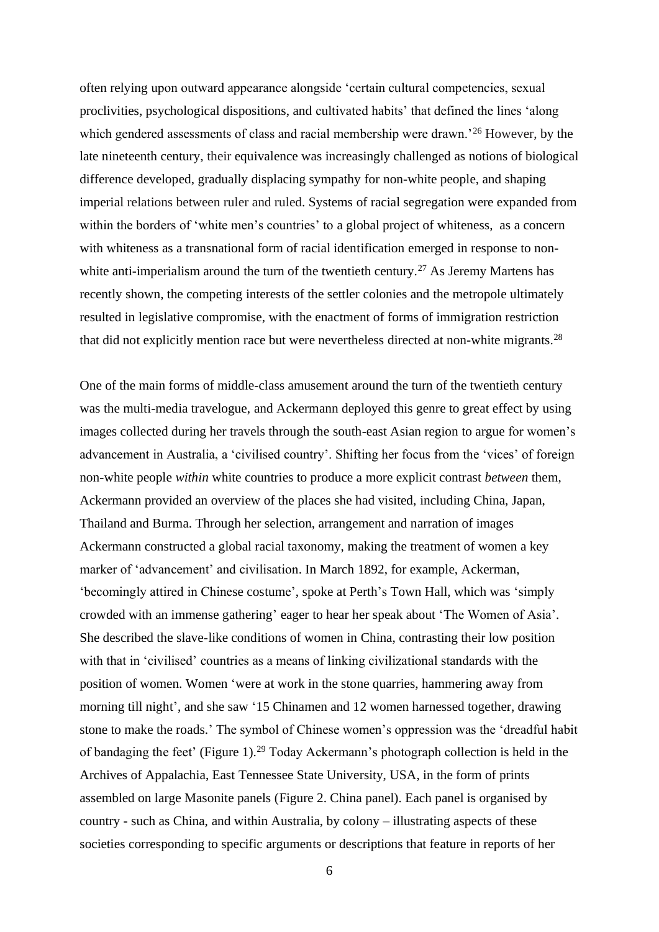often relying upon outward appearance alongside 'certain cultural competencies, sexual proclivities, psychological dispositions, and cultivated habits' that defined the lines 'along which gendered assessments of class and racial membership were drawn.<sup>'26</sup> However, by the late nineteenth century, their equivalence was increasingly challenged as notions of biological difference developed, gradually displacing sympathy for non-white people, and shaping imperial relations between ruler and ruled. Systems of racial segregation were expanded from within the borders of 'white men's countries' to a global project of whiteness, as a concern with whiteness as a transnational form of racial identification emerged in response to nonwhite anti-imperialism around the turn of the twentieth century.<sup>27</sup> As Jeremy Martens has recently shown, the competing interests of the settler colonies and the metropole ultimately resulted in legislative compromise, with the enactment of forms of immigration restriction that did not explicitly mention race but were nevertheless directed at non-white migrants.<sup>28</sup>

One of the main forms of middle-class amusement around the turn of the twentieth century was the multi-media travelogue, and Ackermann deployed this genre to great effect by using images collected during her travels through the south-east Asian region to argue for women's advancement in Australia, a 'civilised country'. Shifting her focus from the 'vices' of foreign non-white people *within* white countries to produce a more explicit contrast *between* them, Ackermann provided an overview of the places she had visited, including China, Japan, Thailand and Burma. Through her selection, arrangement and narration of images Ackermann constructed a global racial taxonomy, making the treatment of women a key marker of 'advancement' and civilisation. In March 1892, for example, Ackerman, 'becomingly attired in Chinese costume', spoke at Perth's Town Hall, which was 'simply crowded with an immense gathering' eager to hear her speak about 'The Women of Asia'. She described the slave-like conditions of women in China, contrasting their low position with that in 'civilised' countries as a means of linking civilizational standards with the position of women. Women 'were at work in the stone quarries, hammering away from morning till night', and she saw '15 Chinamen and 12 women harnessed together, drawing stone to make the roads.' The symbol of Chinese women's oppression was the 'dreadful habit of bandaging the feet' (Figure 1).<sup>29</sup> Today Ackermann's photograph collection is held in the Archives of Appalachia, East Tennessee State University, USA, in the form of prints assembled on large Masonite panels (Figure 2. China panel). Each panel is organised by country - such as China, and within Australia, by colony – illustrating aspects of these societies corresponding to specific arguments or descriptions that feature in reports of her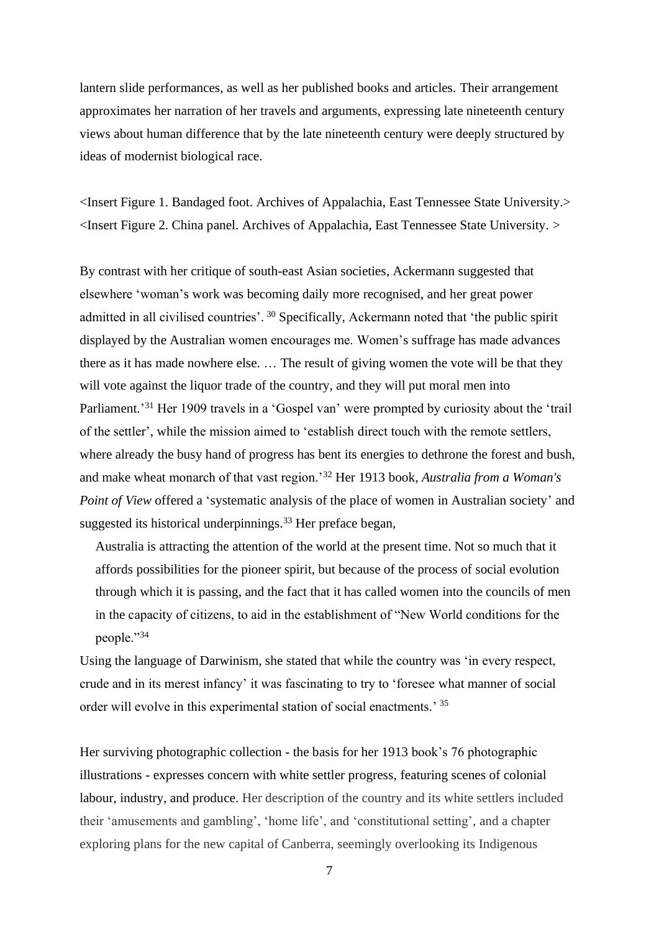lantern slide performances, as well as her published books and articles. Their arrangement approximates her narration of her travels and arguments, expressing late nineteenth century views about human difference that by the late nineteenth century were deeply structured by ideas of modernist biological race.

<Insert Figure 1. Bandaged foot. Archives of Appalachia, East Tennessee State University.> <Insert Figure 2. China panel. Archives of Appalachia, East Tennessee State University. >

By contrast with her critique of south-east Asian societies, Ackermann suggested that elsewhere 'woman's work was becoming daily more recognised, and her great power admitted in all civilised countries'. <sup>30</sup> Specifically, Ackermann noted that 'the public spirit displayed by the Australian women encourages me. Women's suffrage has made advances there as it has made nowhere else. … The result of giving women the vote will be that they will vote against the liquor trade of the country, and they will put moral men into Parliament.<sup>31</sup> Her 1909 travels in a 'Gospel van' were prompted by curiosity about the 'trail of the settler', while the mission aimed to 'establish direct touch with the remote settlers, where already the busy hand of progress has bent its energies to dethrone the forest and bush, and make wheat monarch of that vast region.'<sup>32</sup> Her 1913 book, *Australia from a Woman's Point of View* offered a 'systematic analysis of the place of women in Australian society' and suggested its historical underpinnings. <sup>33</sup> Her preface began,

Australia is attracting the attention of the world at the present time. Not so much that it affords possibilities for the pioneer spirit, but because of the process of social evolution through which it is passing, and the fact that it has called women into the councils of men in the capacity of citizens, to aid in the establishment of "New World conditions for the people."34

Using the language of Darwinism, she stated that while the country was 'in every respect, crude and in its merest infancy' it was fascinating to try to 'foresee what manner of social order will evolve in this experimental station of social enactments.' <sup>35</sup>

Her surviving photographic collection - the basis for her 1913 book's 76 photographic illustrations - expresses concern with white settler progress, featuring scenes of colonial labour, industry, and produce. Her description of the country and its white settlers included their 'amusements and gambling', 'home life', and 'constitutional setting', and a chapter exploring plans for the new capital of Canberra, seemingly overlooking its Indigenous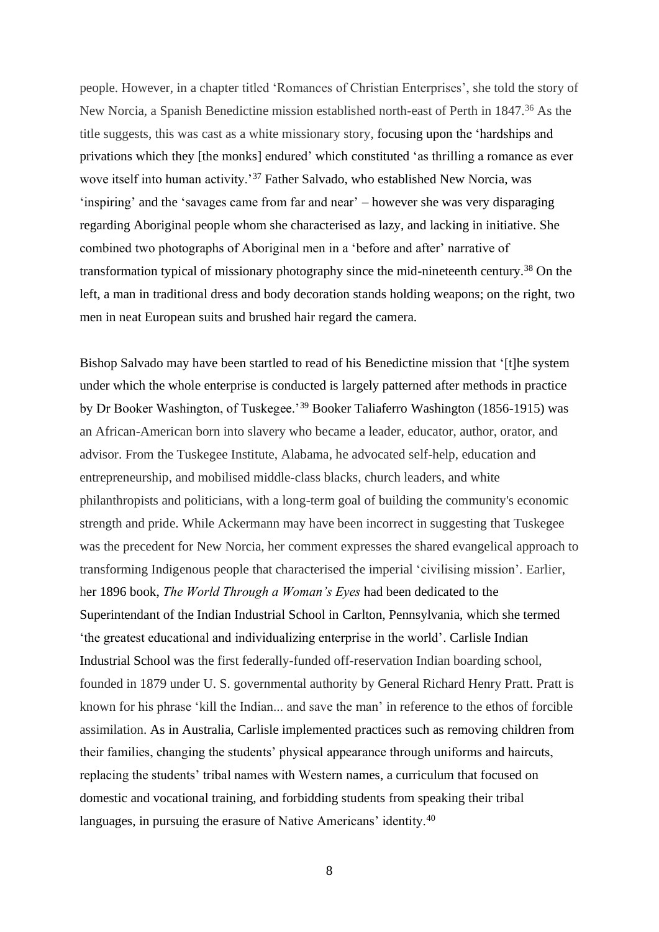people. However, in a chapter titled 'Romances of Christian Enterprises', she told the story of New Norcia, a Spanish Benedictine mission established north-east of Perth in 1847. <sup>36</sup> As the title suggests, this was cast as a white missionary story, focusing upon the 'hardships and privations which they [the monks] endured' which constituted 'as thrilling a romance as ever wove itself into human activity.'<sup>37</sup> Father Salvado, who established New Norcia, was 'inspiring' and the 'savages came from far and near' – however she was very disparaging regarding Aboriginal people whom she characterised as lazy, and lacking in initiative. She combined two photographs of Aboriginal men in a 'before and after' narrative of transformation typical of missionary photography since the mid-nineteenth century.<sup>38</sup> On the left, a man in traditional dress and body decoration stands holding weapons; on the right, two men in neat European suits and brushed hair regard the camera.

Bishop Salvado may have been startled to read of his Benedictine mission that '[t]he system under which the whole enterprise is conducted is largely patterned after methods in practice by Dr Booker Washington, of Tuskegee.'<sup>39</sup> Booker Taliaferro Washington (1856-1915) was an African-American born into slavery who became a leader, educator, author, orator, and advisor. From the Tuskegee Institute, Alabama, he advocated self-help, education and entrepreneurship, and mobilised middle-class blacks, church leaders, and white philanthropists and politicians, with a long-term goal of building the community's economic strength and pride. While Ackermann may have been incorrect in suggesting that Tuskegee was the precedent for New Norcia, her comment expresses the shared evangelical approach to transforming Indigenous people that characterised the imperial 'civilising mission'. Earlier, her 1896 book, *The World Through a Woman's Eyes* had been dedicated to the Superintendant of the Indian Industrial School in Carlton, Pennsylvania, which she termed 'the greatest educational and individualizing enterprise in the world'. Carlisle Indian Industrial School was the first federally-funded off-reservation Indian boarding school, founded in 1879 under U. S. governmental authority by General Richard Henry Pratt. Pratt is known for his phrase 'kill the Indian... and save the man' in reference to the ethos of forcible assimilation. As in Australia, Carlisle implemented practices such as removing children from their families, changing the students' physical appearance through uniforms and haircuts, replacing the students' tribal names with Western names, a curriculum that focused on domestic and vocational training, and forbidding students from speaking their tribal languages, in pursuing the erasure of Native Americans' identity.<sup>40</sup>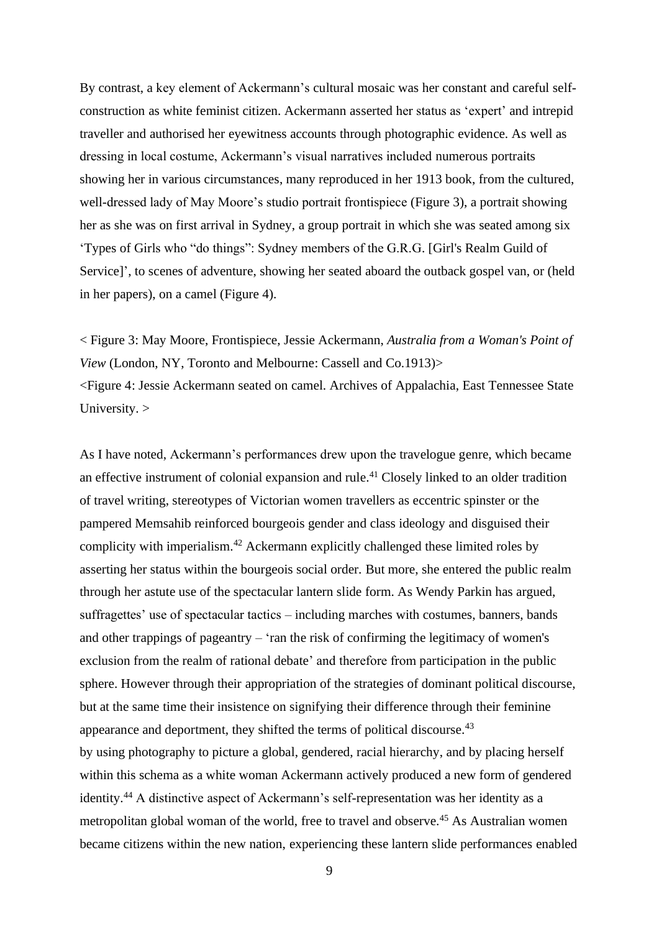By contrast, a key element of Ackermann's cultural mosaic was her constant and careful selfconstruction as white feminist citizen. Ackermann asserted her status as 'expert' and intrepid traveller and authorised her eyewitness accounts through photographic evidence. As well as dressing in local costume, Ackermann's visual narratives included numerous portraits showing her in various circumstances, many reproduced in her 1913 book, from the cultured, well-dressed lady of May Moore's studio portrait frontispiece (Figure 3), a portrait showing her as she was on first arrival in Sydney, a group portrait in which she was seated among six 'Types of Girls who "do things": Sydney members of the G.R.G. [Girl's Realm Guild of Service]', to scenes of adventure, showing her seated aboard the outback gospel van, or (held in her papers), on a camel (Figure 4).

< Figure 3: May Moore, Frontispiece, Jessie Ackermann, *Australia from a Woman's Point of View* (London, NY, Toronto and Melbourne: Cassell and Co.1913)> <Figure 4: Jessie Ackermann seated on camel. Archives of Appalachia, East Tennessee State University. >

As I have noted, Ackermann's performances drew upon the travelogue genre, which became an effective instrument of colonial expansion and rule. <sup>41</sup> Closely linked to an older tradition of travel writing, stereotypes of Victorian women travellers as eccentric spinster or the pampered Memsahib reinforced bourgeois gender and class ideology and disguised their complicity with imperialism. <sup>42</sup> Ackermann explicitly challenged these limited roles by asserting her status within the bourgeois social order. But more, she entered the public realm through her astute use of the spectacular lantern slide form. As Wendy Parkin has argued, suffragettes' use of spectacular tactics – including marches with costumes, banners, bands and other trappings of pageantry – 'ran the risk of confirming the legitimacy of women's exclusion from the realm of rational debate' and therefore from participation in the public sphere. However through their appropriation of the strategies of dominant political discourse, but at the same time their insistence on signifying their difference through their feminine appearance and deportment, they shifted the terms of political discourse.<sup>43</sup> by using photography to picture a global, gendered, racial hierarchy, and by placing herself within this schema as a white woman Ackermann actively produced a new form of gendered identity. <sup>44</sup> A distinctive aspect of Ackermann's self-representation was her identity as a metropolitan global woman of the world, free to travel and observe.<sup>45</sup> As Australian women became citizens within the new nation, experiencing these lantern slide performances enabled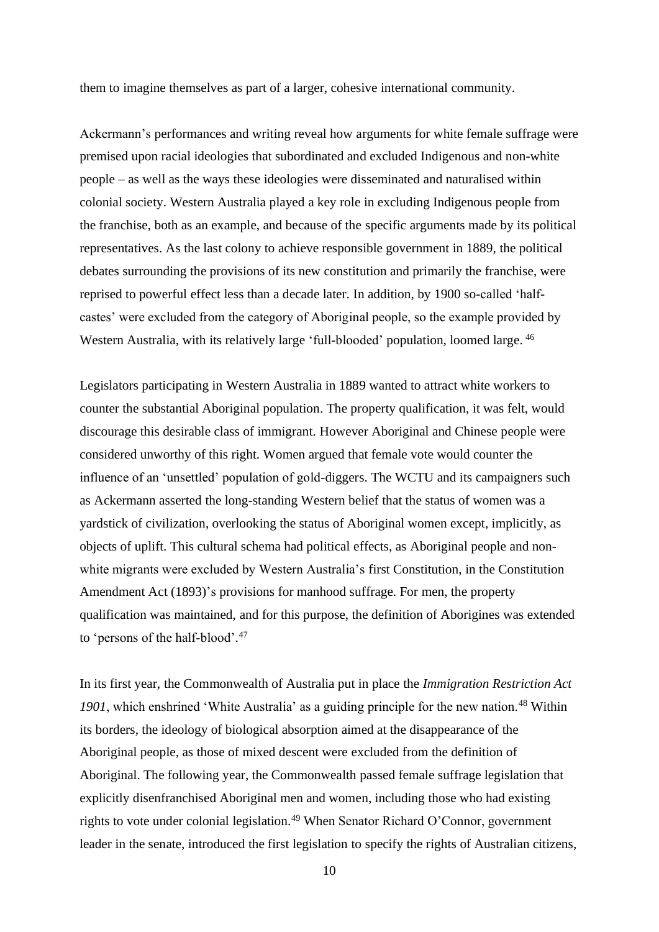them to imagine themselves as part of a larger, cohesive international community.

Ackermann's performances and writing reveal how arguments for white female suffrage were premised upon racial ideologies that subordinated and excluded Indigenous and non-white people – as well as the ways these ideologies were disseminated and naturalised within colonial society. Western Australia played a key role in excluding Indigenous people from the franchise, both as an example, and because of the specific arguments made by its political representatives. As the last colony to achieve responsible government in 1889, the political debates surrounding the provisions of its new constitution and primarily the franchise, were reprised to powerful effect less than a decade later. In addition, by 1900 so-called 'halfcastes' were excluded from the category of Aboriginal people, so the example provided by Western Australia, with its relatively large 'full-blooded' population, loomed large. <sup>46</sup>

Legislators participating in Western Australia in 1889 wanted to attract white workers to counter the substantial Aboriginal population. The property qualification, it was felt, would discourage this desirable class of immigrant. However Aboriginal and Chinese people were considered unworthy of this right. Women argued that female vote would counter the influence of an 'unsettled' population of gold-diggers. The WCTU and its campaigners such as Ackermann asserted the long-standing Western belief that the status of women was a yardstick of civilization, overlooking the status of Aboriginal women except, implicitly, as objects of uplift. This cultural schema had political effects, as Aboriginal people and nonwhite migrants were excluded by Western Australia's first Constitution, in the Constitution Amendment Act (1893)'s provisions for manhood suffrage. For men, the property qualification was maintained, and for this purpose, the definition of Aborigines was extended to 'persons of the half-blood'. 47

In its first year, the Commonwealth of Australia put in place the *Immigration Restriction Act*  1901, which enshrined 'White Australia' as a guiding principle for the new nation.<sup>48</sup> Within its borders, the ideology of biological absorption aimed at the disappearance of the Aboriginal people, as those of mixed descent were excluded from the definition of Aboriginal. The following year, the Commonwealth passed female suffrage legislation that explicitly disenfranchised Aboriginal men and women, including those who had existing rights to vote under colonial legislation.<sup>49</sup> When Senator Richard O'Connor, government leader in the senate, introduced the first legislation to specify the rights of Australian citizens,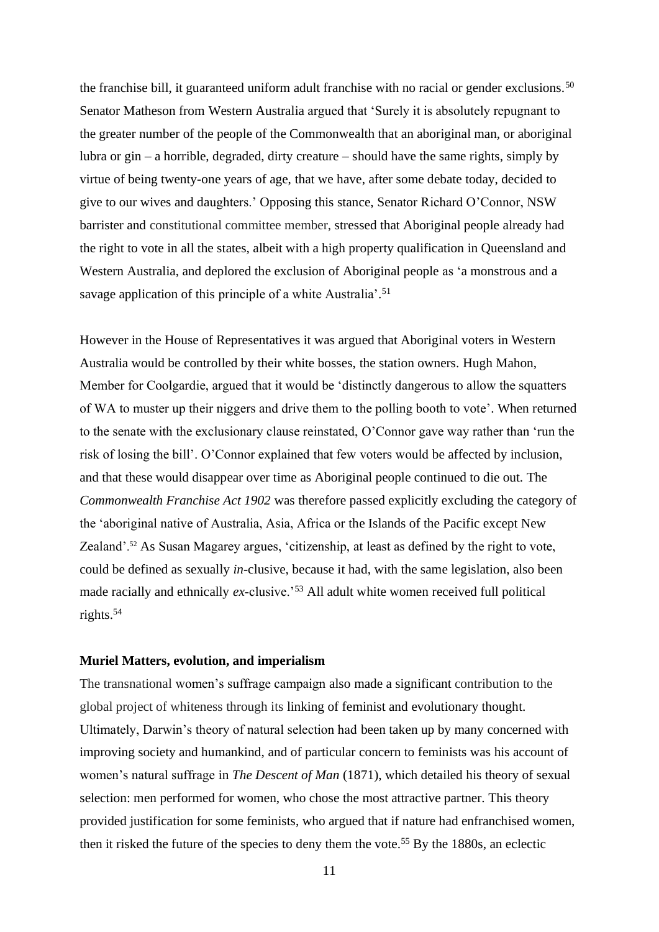the franchise bill, it guaranteed uniform adult franchise with no racial or gender exclusions.<sup>50</sup> Senator Matheson from Western Australia argued that 'Surely it is absolutely repugnant to the greater number of the people of the Commonwealth that an aboriginal man, or aboriginal lubra or gin – a horrible, degraded, dirty creature – should have the same rights, simply by virtue of being twenty-one years of age, that we have, after some debate today, decided to give to our wives and daughters.' Opposing this stance, Senator Richard O'Connor, NSW barrister and constitutional committee member, stressed that Aboriginal people already had the right to vote in all the states, albeit with a high property qualification in Queensland and Western Australia, and deplored the exclusion of Aboriginal people as 'a monstrous and a savage application of this principle of a white Australia'.<sup>51</sup>

However in the House of Representatives it was argued that Aboriginal voters in Western Australia would be controlled by their white bosses, the station owners. Hugh Mahon, Member for Coolgardie, argued that it would be 'distinctly dangerous to allow the squatters of WA to muster up their niggers and drive them to the polling booth to vote'. When returned to the senate with the exclusionary clause reinstated, O'Connor gave way rather than 'run the risk of losing the bill'. O'Connor explained that few voters would be affected by inclusion, and that these would disappear over time as Aboriginal people continued to die out. The *Commonwealth Franchise Act 1902* was therefore passed explicitly excluding the category of the 'aboriginal native of Australia, Asia, Africa or the Islands of the Pacific except New Zealand'. <sup>52</sup> As Susan Magarey argues, 'citizenship, at least as defined by the right to vote, could be defined as sexually *in*-clusive, because it had, with the same legislation, also been made racially and ethnically *ex*-clusive.<sup>53</sup> All adult white women received full political rights.<sup>54</sup>

#### **Muriel Matters, evolution, and imperialism**

The transnational women's suffrage campaign also made a significant contribution to the global project of whiteness through its linking of feminist and evolutionary thought. Ultimately, Darwin's theory of natural selection had been taken up by many concerned with improving society and humankind, and of particular concern to feminists was his account of women's natural suffrage in *The Descent of Man* (1871), which detailed his theory of sexual selection: men performed for women, who chose the most attractive partner. This theory provided justification for some feminists, who argued that if nature had enfranchised women, then it risked the future of the species to deny them the vote. <sup>55</sup> By the 1880s, an eclectic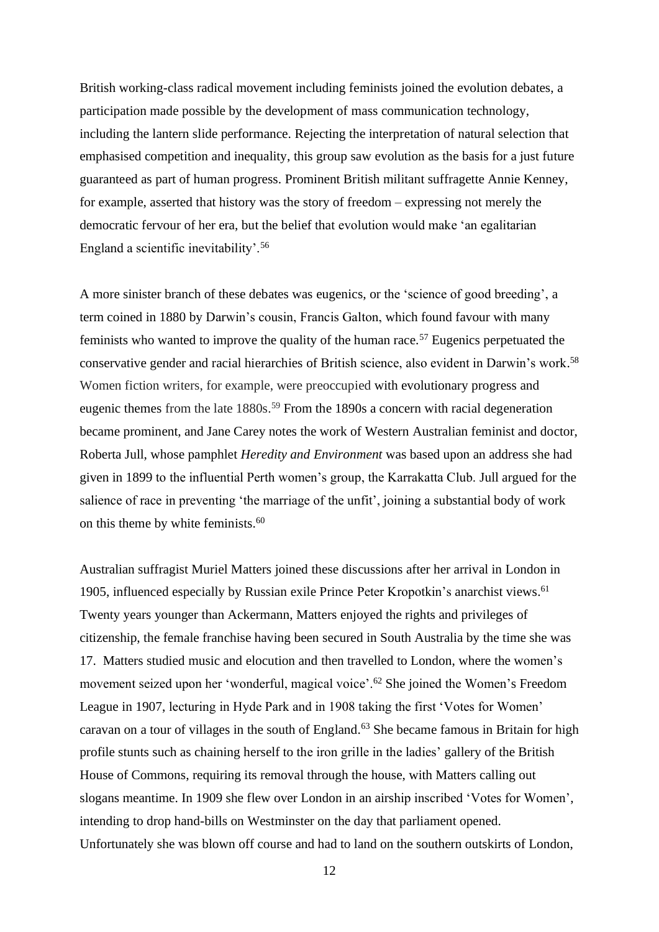British working-class radical movement including feminists joined the evolution debates, a participation made possible by the development of mass communication technology, including the lantern slide performance. Rejecting the interpretation of natural selection that emphasised competition and inequality, this group saw evolution as the basis for a just future guaranteed as part of human progress. Prominent British militant suffragette Annie Kenney, for example, asserted that history was the story of freedom – expressing not merely the democratic fervour of her era, but the belief that evolution would make 'an egalitarian England a scientific inevitability'.<sup>56</sup>

A more sinister branch of these debates was eugenics, or the 'science of good breeding', a term coined in 1880 by Darwin's cousin, Francis Galton, which found favour with many feminists who wanted to improve the quality of the human race.<sup>57</sup> Eugenics perpetuated the conservative gender and racial hierarchies of British science, also evident in Darwin's work. 58 Women fiction writers, for example, were preoccupied with evolutionary progress and eugenic themes from the late 1880s. <sup>59</sup> From the 1890s a concern with racial degeneration became prominent, and Jane Carey notes the work of Western Australian feminist and doctor, Roberta Jull, whose pamphlet *Heredity and Environment* was based upon an address she had given in 1899 to the influential Perth women's group, the Karrakatta Club. Jull argued for the salience of race in preventing 'the marriage of the unfit', joining a substantial body of work on this theme by white feminists.<sup>60</sup>

Australian suffragist Muriel Matters joined these discussions after her arrival in London in 1905, influenced especially by Russian exile Prince Peter Kropotkin's anarchist views. 61 Twenty years younger than Ackermann, Matters enjoyed the rights and privileges of citizenship, the female franchise having been secured in South Australia by the time she was 17. Matters studied music and elocution and then travelled to London, where the women's movement seized upon her 'wonderful, magical voice'.<sup>62</sup> She joined the Women's Freedom League in 1907, lecturing in Hyde Park and in 1908 taking the first 'Votes for Women' caravan on a tour of villages in the south of England. <sup>63</sup> She became famous in Britain for high profile stunts such as chaining herself to the iron grille in the ladies' gallery of the British House of Commons, requiring its removal through the house, with Matters calling out slogans meantime. In 1909 she flew over London in an airship inscribed 'Votes for Women', intending to drop hand-bills on Westminster on the day that parliament opened. Unfortunately she was blown off course and had to land on the southern outskirts of London,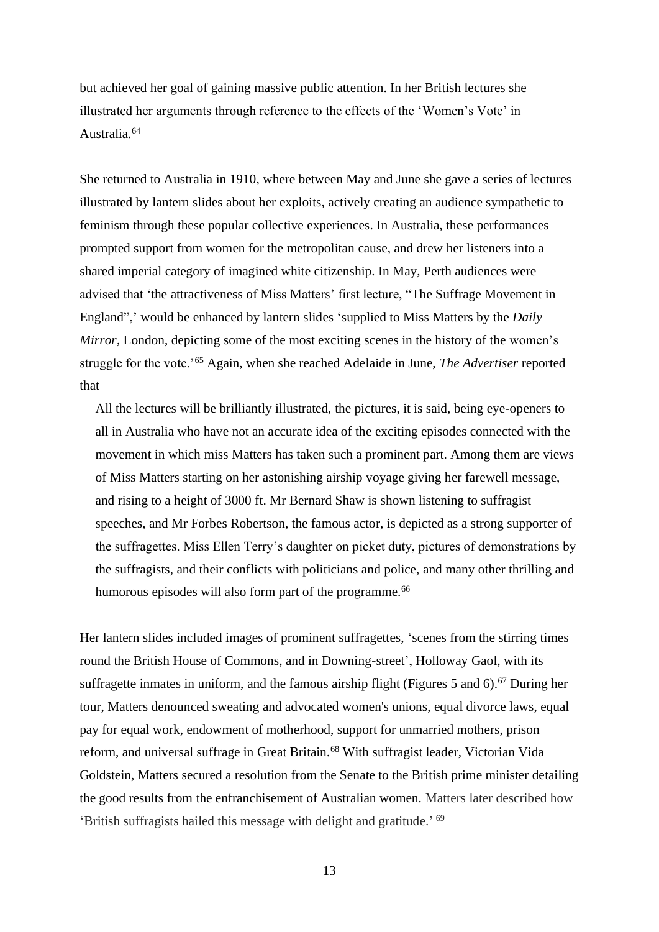but achieved her goal of gaining massive public attention. In her British lectures she illustrated her arguments through reference to the effects of the 'Women's Vote' in Australia.<sup>64</sup>

She returned to Australia in 1910, where between May and June she gave a series of lectures illustrated by lantern slides about her exploits, actively creating an audience sympathetic to feminism through these popular collective experiences. In Australia, these performances prompted support from women for the metropolitan cause, and drew her listeners into a shared imperial category of imagined white citizenship. In May, Perth audiences were advised that 'the attractiveness of Miss Matters' first lecture, "The Suffrage Movement in England",' would be enhanced by lantern slides 'supplied to Miss Matters by the *Daily Mirror*, London, depicting some of the most exciting scenes in the history of the women's struggle for the vote.'<sup>65</sup> Again, when she reached Adelaide in June, *The Advertiser* reported that

All the lectures will be brilliantly illustrated, the pictures, it is said, being eye-openers to all in Australia who have not an accurate idea of the exciting episodes connected with the movement in which miss Matters has taken such a prominent part. Among them are views of Miss Matters starting on her astonishing airship voyage giving her farewell message, and rising to a height of 3000 ft. Mr Bernard Shaw is shown listening to suffragist speeches, and Mr Forbes Robertson, the famous actor, is depicted as a strong supporter of the suffragettes. Miss Ellen Terry's daughter on picket duty, pictures of demonstrations by the suffragists, and their conflicts with politicians and police, and many other thrilling and humorous episodes will also form part of the programme.<sup>66</sup>

Her lantern slides included images of prominent suffragettes, 'scenes from the stirring times round the British House of Commons, and in Downing-street', Holloway Gaol, with its suffragette inmates in uniform, and the famous airship flight (Figures 5 and 6). <sup>67</sup> During her tour, Matters denounced sweating and advocated women's unions, equal divorce laws, equal pay for equal work, endowment of motherhood, support for unmarried mothers, prison reform, and universal suffrage in Great Britain.<sup>68</sup> With suffragist leader, Victorian Vida Goldstein, Matters secured a resolution from the Senate to the British prime minister detailing the good results from the enfranchisement of Australian women. Matters later described how 'British suffragists hailed this message with delight and gratitude.' 69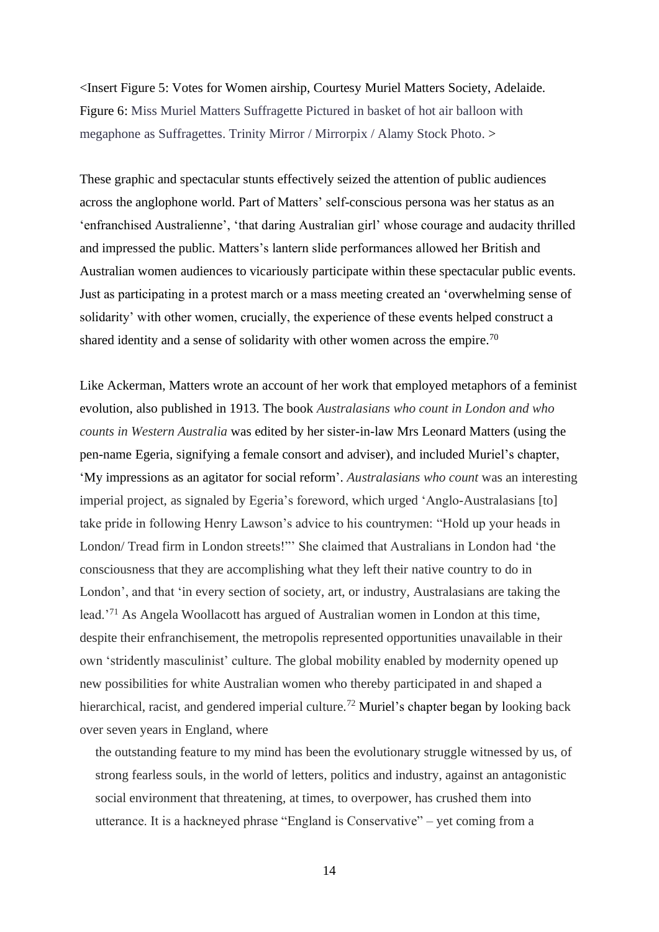<Insert Figure 5: Votes for Women airship, Courtesy Muriel Matters Society, Adelaide. Figure 6: Miss Muriel Matters Suffragette Pictured in basket of hot air balloon with megaphone as Suffragettes. Trinity Mirror / Mirrorpix / Alamy Stock Photo. >

These graphic and spectacular stunts effectively seized the attention of public audiences across the anglophone world. Part of Matters' self-conscious persona was her status as an 'enfranchised Australienne', 'that daring Australian girl' whose courage and audacity thrilled and impressed the public. Matters's lantern slide performances allowed her British and Australian women audiences to vicariously participate within these spectacular public events. Just as participating in a protest march or a mass meeting created an 'overwhelming sense of solidarity' with other women, crucially, the experience of these events helped construct a shared identity and a sense of solidarity with other women across the empire.<sup>70</sup>

Like Ackerman, Matters wrote an account of her work that employed metaphors of a feminist evolution, also published in 1913. The book *Australasians who count in London and who counts in Western Australia* was edited by her sister-in-law Mrs Leonard Matters (using the pen-name Egeria, signifying a female consort and adviser), and included Muriel's chapter, 'My impressions as an agitator for social reform'. *Australasians who count* was an interesting imperial project, as signaled by Egeria's foreword, which urged 'Anglo-Australasians [to] take pride in following Henry Lawson's advice to his countrymen: "Hold up your heads in London/ Tread firm in London streets!"' She claimed that Australians in London had 'the consciousness that they are accomplishing what they left their native country to do in London', and that 'in every section of society, art, or industry, Australasians are taking the lead.'<sup>71</sup> As Angela Woollacott has argued of Australian women in London at this time, despite their enfranchisement, the metropolis represented opportunities unavailable in their own 'stridently masculinist' culture. The global mobility enabled by modernity opened up new possibilities for white Australian women who thereby participated in and shaped a hierarchical, racist, and gendered imperial culture.<sup>72</sup> Muriel's chapter began by looking back over seven years in England, where

the outstanding feature to my mind has been the evolutionary struggle witnessed by us, of strong fearless souls, in the world of letters, politics and industry, against an antagonistic social environment that threatening, at times, to overpower, has crushed them into utterance. It is a hackneyed phrase "England is Conservative" – yet coming from a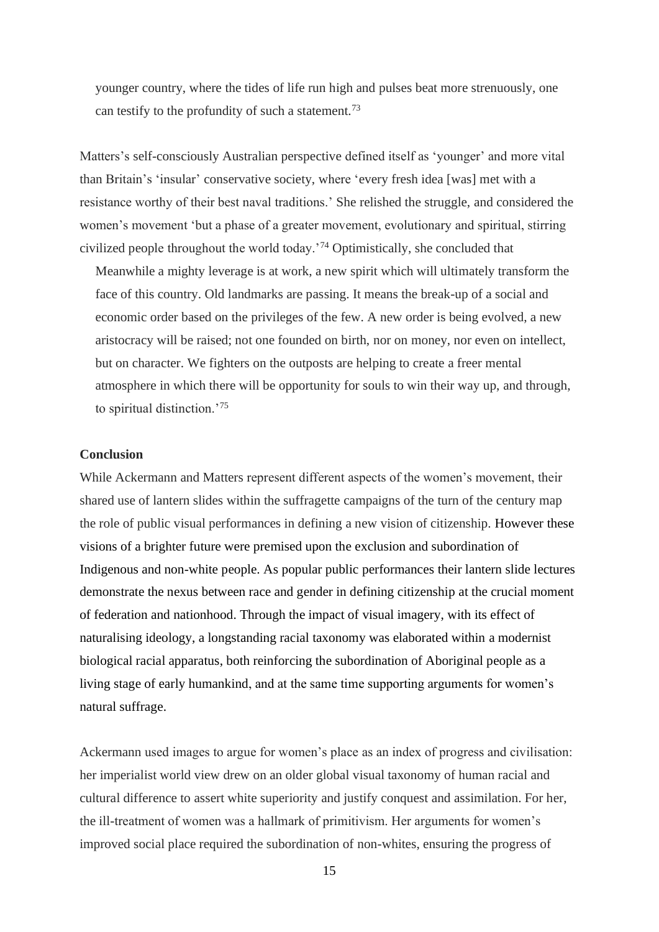younger country, where the tides of life run high and pulses beat more strenuously, one can testify to the profundity of such a statement.<sup>73</sup>

Matters's self-consciously Australian perspective defined itself as 'younger' and more vital than Britain's 'insular' conservative society, where 'every fresh idea [was] met with a resistance worthy of their best naval traditions.' She relished the struggle, and considered the women's movement 'but a phase of a greater movement, evolutionary and spiritual, stirring civilized people throughout the world today.'<sup>74</sup> Optimistically, she concluded that

Meanwhile a mighty leverage is at work, a new spirit which will ultimately transform the face of this country. Old landmarks are passing. It means the break-up of a social and economic order based on the privileges of the few. A new order is being evolved, a new aristocracy will be raised; not one founded on birth, nor on money, nor even on intellect, but on character. We fighters on the outposts are helping to create a freer mental atmosphere in which there will be opportunity for souls to win their way up, and through, to spiritual distinction.'<sup>75</sup>

# **Conclusion**

While Ackermann and Matters represent different aspects of the women's movement, their shared use of lantern slides within the suffragette campaigns of the turn of the century map the role of public visual performances in defining a new vision of citizenship. However these visions of a brighter future were premised upon the exclusion and subordination of Indigenous and non-white people. As popular public performances their lantern slide lectures demonstrate the nexus between race and gender in defining citizenship at the crucial moment of federation and nationhood. Through the impact of visual imagery, with its effect of naturalising ideology, a longstanding racial taxonomy was elaborated within a modernist biological racial apparatus, both reinforcing the subordination of Aboriginal people as a living stage of early humankind, and at the same time supporting arguments for women's natural suffrage.

Ackermann used images to argue for women's place as an index of progress and civilisation: her imperialist world view drew on an older global visual taxonomy of human racial and cultural difference to assert white superiority and justify conquest and assimilation. For her, the ill-treatment of women was a hallmark of primitivism. Her arguments for women's improved social place required the subordination of non-whites, ensuring the progress of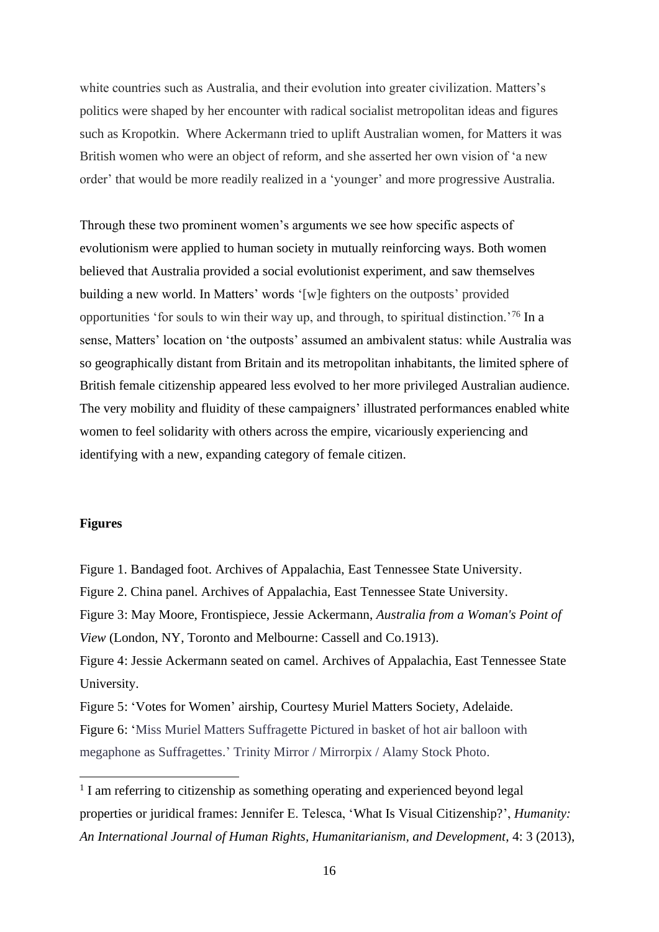white countries such as Australia, and their evolution into greater civilization. Matters's politics were shaped by her encounter with radical socialist metropolitan ideas and figures such as Kropotkin. Where Ackermann tried to uplift Australian women, for Matters it was British women who were an object of reform, and she asserted her own vision of 'a new order' that would be more readily realized in a 'younger' and more progressive Australia.

Through these two prominent women's arguments we see how specific aspects of evolutionism were applied to human society in mutually reinforcing ways. Both women believed that Australia provided a social evolutionist experiment, and saw themselves building a new world. In Matters' words '[w]e fighters on the outposts' provided opportunities 'for souls to win their way up, and through, to spiritual distinction.'<sup>76</sup> In a sense, Matters' location on 'the outposts' assumed an ambivalent status: while Australia was so geographically distant from Britain and its metropolitan inhabitants, the limited sphere of British female citizenship appeared less evolved to her more privileged Australian audience. The very mobility and fluidity of these campaigners' illustrated performances enabled white women to feel solidarity with others across the empire, vicariously experiencing and identifying with a new, expanding category of female citizen.

## **Figures**

Figure 1. Bandaged foot. Archives of Appalachia, East Tennessee State University. Figure 2. China panel. Archives of Appalachia, East Tennessee State University. Figure 3: May Moore, Frontispiece, Jessie Ackermann, *Australia from a Woman's Point of View* (London, NY, Toronto and Melbourne: Cassell and Co.1913). Figure 4: Jessie Ackermann seated on camel. Archives of Appalachia, East Tennessee State University.

Figure 5: 'Votes for Women' airship, Courtesy Muriel Matters Society, Adelaide. Figure 6: 'Miss Muriel Matters Suffragette Pictured in basket of hot air balloon with megaphone as Suffragettes.' Trinity Mirror / Mirrorpix / Alamy Stock Photo.

<sup>&</sup>lt;sup>1</sup> I am referring to citizenship as something operating and experienced beyond legal properties or juridical frames: Jennifer E. Telesca, 'What Is Visual Citizenship?', *Humanity: An International Journal of Human Rights, Humanitarianism, and Development*, 4: 3 (2013),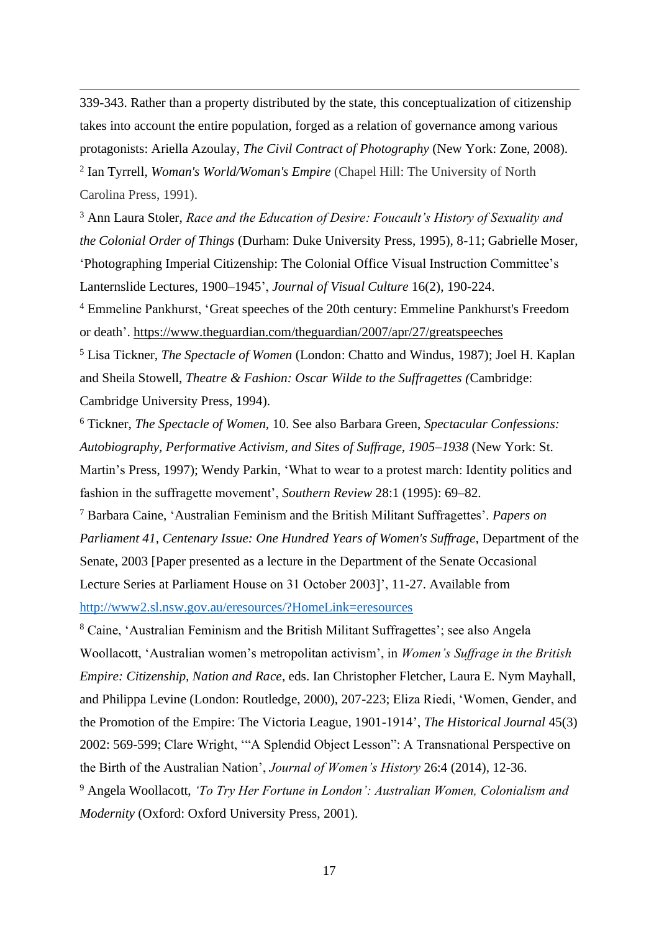339-343. Rather than a property distributed by the state, this conceptualization of citizenship takes into account the entire population, forged as a relation of governance among various protagonists: Ariella Azoulay, *The Civil Contract of Photography* (New York: Zone, 2008). 2 Ian Tyrrell, *Woman's World/Woman's Empire* (Chapel Hill: The University of North Carolina Press, 1991).

<sup>3</sup> Ann Laura Stoler, *Race and the Education of Desire: Foucault's History of Sexuality and the Colonial Order of Things* (Durham: Duke University Press, 1995), 8-11; Gabrielle Moser, 'Photographing Imperial Citizenship: The Colonial Office Visual Instruction Committee's Lanternslide Lectures, 1900–1945', *Journal of Visual Culture* 16(2), 190-224.

<sup>4</sup> Emmeline Pankhurst, 'Great speeches of the 20th century: Emmeline Pankhurst's Freedom or death'. <https://www.theguardian.com/theguardian/2007/apr/27/greatspeeches>

<sup>5</sup> Lisa Tickner, *The Spectacle of Women* (London: Chatto and Windus, 1987); Joel H. Kaplan and Sheila Stowell, *Theatre & Fashion: Oscar Wilde to the Suffragettes (*Cambridge: Cambridge University Press, 1994).

<sup>6</sup> Tickner, *The Spectacle of Women,* 10. See also Barbara Green, *Spectacular Confessions: Autobiography, Performative Activism, and Sites of Suffrage, 1905–1938* (New York: St. Martin's Press, 1997); Wendy Parkin, 'What to wear to a protest march: Identity politics and fashion in the suffragette movement', *Southern Review* 28:1 (1995): 69–82.

<sup>7</sup> Barbara Caine, 'Australian Feminism and the British Militant Suffragettes'. *Papers on Parliament 41, Centenary Issue: One Hundred Years of Women's Suffrage*, Department of the Senate, 2003 [Paper presented as a lecture in the Department of the Senate Occasional Lecture Series at Parliament House on 31 October 2003]', 11-27. Available from <http://www2.sl.nsw.gov.au/eresources/?HomeLink=eresources>

<sup>8</sup> Caine, 'Australian Feminism and the British Militant Suffragettes'; see also Angela Woollacott, 'Australian women's metropolitan activism', in *Women's Suffrage in the British Empire: Citizenship, Nation and Race*, eds. Ian Christopher Fletcher, Laura E. Nym Mayhall, and Philippa Levine (London: Routledge, 2000), 207-223; Eliza Riedi, 'Women, Gender, and the Promotion of the Empire: The Victoria League, 1901-1914', *The Historical Journal* 45(3) 2002: 569-599; Clare Wright, '"A Splendid Object Lesson": A Transnational Perspective on the Birth of the Australian Nation', *Journal of Women's History* 26:4 (2014), 12-36.

<sup>9</sup> Angela Woollacott, *'To Try Her Fortune in London': Australian Women, Colonialism and Modernity* (Oxford: Oxford University Press, 2001).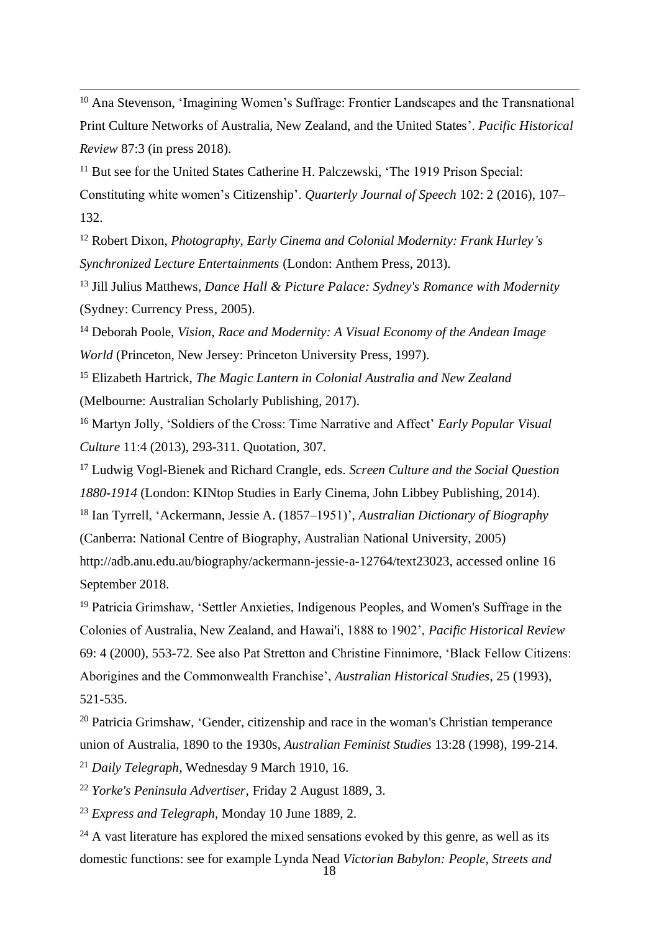<sup>10</sup> Ana Stevenson, 'Imagining Women's Suffrage: Frontier Landscapes and the Transnational Print Culture Networks of Australia, New Zealand, and the United States'. *Pacific Historical Review* 87:3 (in press 2018).

<sup>11</sup> But see for the United States Catherine H. Palczewski, 'The 1919 Prison Special: Constituting white women's Citizenship'. *Quarterly Journal of Speech* 102: 2 (2016), 107– 132.

<sup>12</sup> Robert Dixon, *Photography, Early Cinema and Colonial Modernity: Frank Hurley's Synchronized Lecture Entertainments* (London: Anthem Press, 2013).

<sup>13</sup> Jill Julius Matthews, *Dance Hall & Picture Palace: Sydney's Romance with Modernity* (Sydney: Currency Press*,* 2005).

<sup>14</sup> Deborah Poole, *Vision, Race and Modernity: A Visual Economy of the Andean Image World* (Princeton, New Jersey: Princeton University Press, 1997).

<sup>15</sup> Elizabeth Hartrick, *The Magic Lantern in Colonial Australia and New Zealand* (Melbourne: Australian Scholarly Publishing, 2017).

<sup>16</sup> Martyn Jolly, 'Soldiers of the Cross: Time Narrative and Affect' *Early Popular Visual Culture* 11:4 (2013), 293-311. Quotation, 307.

<sup>17</sup> Ludwig Vogl-Bienek and Richard Crangle, eds. *Screen Culture and the Social Question 1880-1914* (London: KINtop Studies in Early Cinema, John Libbey Publishing, 2014). <sup>18</sup> Ian Tyrrell, 'Ackermann, Jessie A. (1857–1951)', *Australian Dictionary of Biography* (Canberra: National Centre of Biography, Australian National University, 2005) http://adb.anu.edu.au/biography/ackermann-jessie-a-12764/text23023, accessed online 16 September 2018.

<sup>19</sup> Patricia Grimshaw, 'Settler Anxieties, Indigenous Peoples, and Women's Suffrage in the Colonies of Australia, New Zealand, and Hawai'i, 1888 to 1902', *Pacific Historical Review*  69: 4 (2000), 553-72. See also Pat Stretton and Christine Finnimore, 'Black Fellow Citizens: Aborigines and the Commonwealth Franchise', *Australian Historical Studies*, 25 (1993), 521-535.

<sup>20</sup> Patricia Grimshaw, 'Gender, citizenship and race in the woman's Christian temperance union of Australia, 1890 to the 1930s, *Australian Feminist Studies* 13:28 (1998), 199-214. <sup>21</sup> *Daily Telegraph*, Wednesday 9 March 1910, 16.

<sup>22</sup> *Yorke's Peninsula Advertiser*, Friday 2 August 1889, 3.

<sup>23</sup> *Express and Telegraph*, Monday 10 June 1889, 2.

 $24$  A vast literature has explored the mixed sensations evoked by this genre, as well as its domestic functions: see for example Lynda Nead *Victorian Babylon: People, Streets and*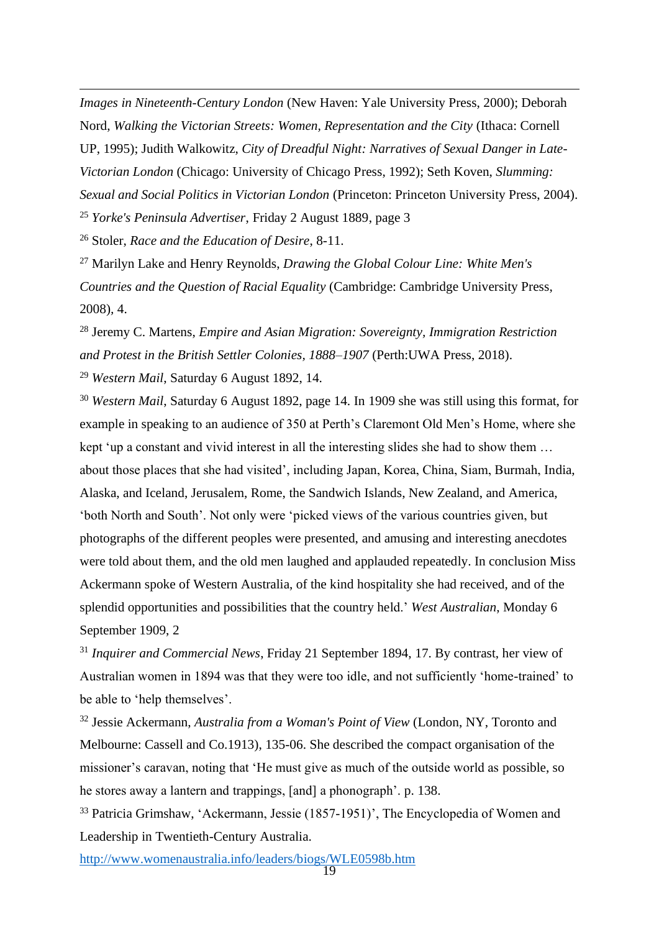*Images in Nineteenth-Century London* (New Haven: Yale University Press, 2000); Deborah Nord, *Walking the Victorian Streets: Women, Representation and the City* (Ithaca: Cornell UP, 1995); Judith Walkowitz, *City of Dreadful Night: Narratives of Sexual Danger in Late-Victorian London* (Chicago: University of Chicago Press, 1992); Seth Koven, *Slumming: Sexual and Social Politics in Victorian London* (Princeton: Princeton University Press, 2004). <sup>25</sup> *Yorke's Peninsula Advertiser*, Friday 2 August 1889, page 3

<sup>26</sup> Stoler, *Race and the Education of Desire*, 8-11.

<sup>27</sup> Marilyn Lake and Henry Reynolds, *Drawing the Global Colour Line: White Men's Countries and the Question of Racial Equality* (Cambridge: Cambridge University Press, 2008)*,* 4.

<sup>28</sup> Jeremy C. Martens, *Empire and Asian Migration: Sovereignty, Immigration Restriction and Protest in the British Settler Colonies, 1888–1907* (Perth:UWA Press, 2018).

<sup>29</sup> *Western Mail*, Saturday 6 August 1892, 14.

<sup>30</sup> *Western Mail*, Saturday 6 August 1892, page 14. In 1909 she was still using this format, for example in speaking to an audience of 350 at Perth's Claremont Old Men's Home, where she kept 'up a constant and vivid interest in all the interesting slides she had to show them … about those places that she had visited', including Japan, Korea, China, Siam, Burmah, India, Alaska, and Iceland, Jerusalem, Rome, the Sandwich Islands, New Zealand, and America, 'both North and South'. Not only were 'picked views of the various countries given, but photographs of the different peoples were presented, and amusing and interesting anecdotes were told about them, and the old men laughed and applauded repeatedly. In conclusion Miss Ackermann spoke of Western Australia, of the kind hospitality she had received, and of the splendid opportunities and possibilities that the country held.' *West Australian*, Monday 6 September 1909, 2

<sup>31</sup> *Inquirer and Commercial News*, Friday 21 September 1894, 17. By contrast, her view of Australian women in 1894 was that they were too idle, and not sufficiently 'home-trained' to be able to 'help themselves'.

<sup>32</sup> Jessie Ackermann, *Australia from a Woman's Point of View* (London, NY, Toronto and Melbourne: Cassell and Co.1913), 135-06. She described the compact organisation of the missioner's caravan, noting that 'He must give as much of the outside world as possible, so he stores away a lantern and trappings, [and] a phonograph'. p. 138.

<sup>33</sup> Patricia Grimshaw, 'Ackermann, Jessie (1857-1951)', The Encyclopedia of Women and Leadership in Twentieth-Century Australia.

<http://www.womenaustralia.info/leaders/biogs/WLE0598b.htm>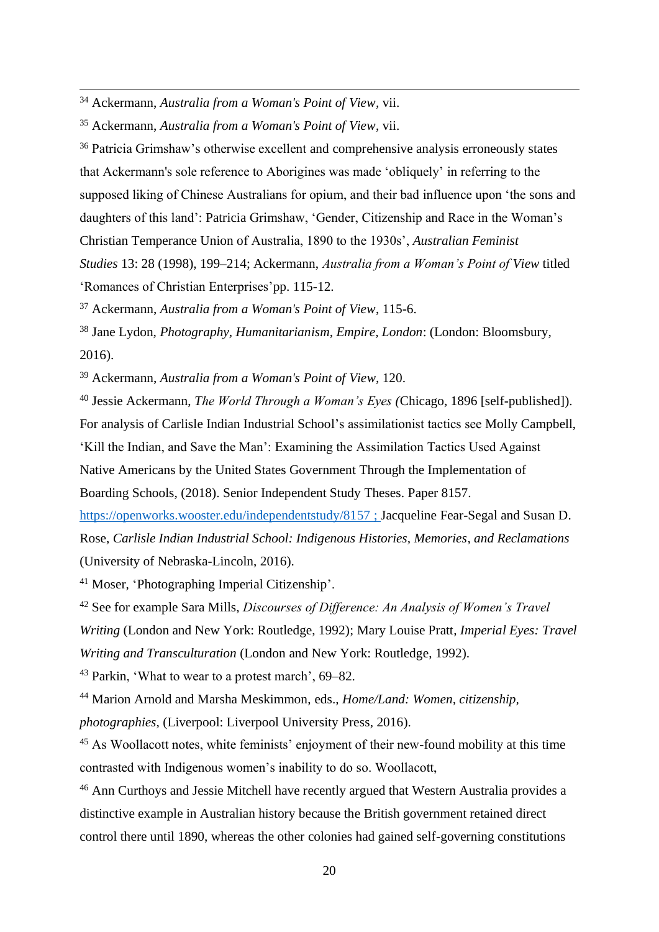<sup>34</sup> Ackermann, *Australia from a Woman's Point of View,* vii.

<sup>35</sup> Ackermann, *Australia from a Woman's Point of View*, vii.

<sup>36</sup> Patricia Grimshaw's otherwise excellent and comprehensive analysis erroneously states that Ackermann's sole reference to Aborigines was made 'obliquely' in referring to the supposed liking of Chinese Australians for opium, and their bad influence upon 'the sons and daughters of this land': Patricia Grimshaw, 'Gender, Citizenship and Race in the Woman's Christian Temperance Union of Australia, 1890 to the 1930s', *Australian Feminist Studies* 13: 28 (1998), 199–214; Ackermann, *Australia from a Woman's Point of View* titled 'Romances of Christian Enterprises'pp. 115-12.

<sup>37</sup> Ackermann, *Australia from a Woman's Point of View*, 115-6.

<sup>38</sup> Jane Lydon, *Photography, Humanitarianism, Empire, London*: (London: Bloomsbury, 2016).

<sup>39</sup> Ackermann, *Australia from a Woman's Point of View,* 120.

<sup>40</sup> Jessie Ackermann, *The World Through a Woman's Eyes (*Chicago, 1896 [self-published]). For analysis of Carlisle Indian Industrial School's assimilationist tactics see Molly Campbell, 'Kill the Indian, and Save the Man': Examining the Assimilation Tactics Used Against Native Americans by the United States Government Through the Implementation of Boarding Schools, (2018). Senior Independent Study Theses. Paper 8157.

<https://openworks.wooster.edu/independentstudy/8157> ; Jacqueline Fear-Segal and Susan D. Rose, *Carlisle Indian Industrial School: Indigenous Histories, Memories*, *and Reclamations* (University of Nebraska-Lincoln, 2016).

<sup>41</sup> Moser, 'Photographing Imperial Citizenship'.

<sup>42</sup> See for example Sara Mills, *Discourses of Difference: An Analysis of Women's Travel Writing* (London and New York: Routledge, 1992); Mary Louise Pratt, *Imperial Eyes: Travel Writing and Transculturation* (London and New York: Routledge, 1992).

<sup>43</sup> Parkin, 'What to wear to a protest march', 69–82.

<sup>44</sup> Marion Arnold and Marsha Meskimmon, eds., *Home/Land: Women, citizenship, photographies*, (Liverpool: Liverpool University Press, 2016).

<sup>45</sup> As Woollacott notes, white feminists' enjoyment of their new-found mobility at this time contrasted with Indigenous women's inability to do so. Woollacott,

<sup>46</sup> Ann Curthoys and Jessie Mitchell have recently argued that Western Australia provides a distinctive example in Australian history because the British government retained direct control there until 1890, whereas the other colonies had gained self-governing constitutions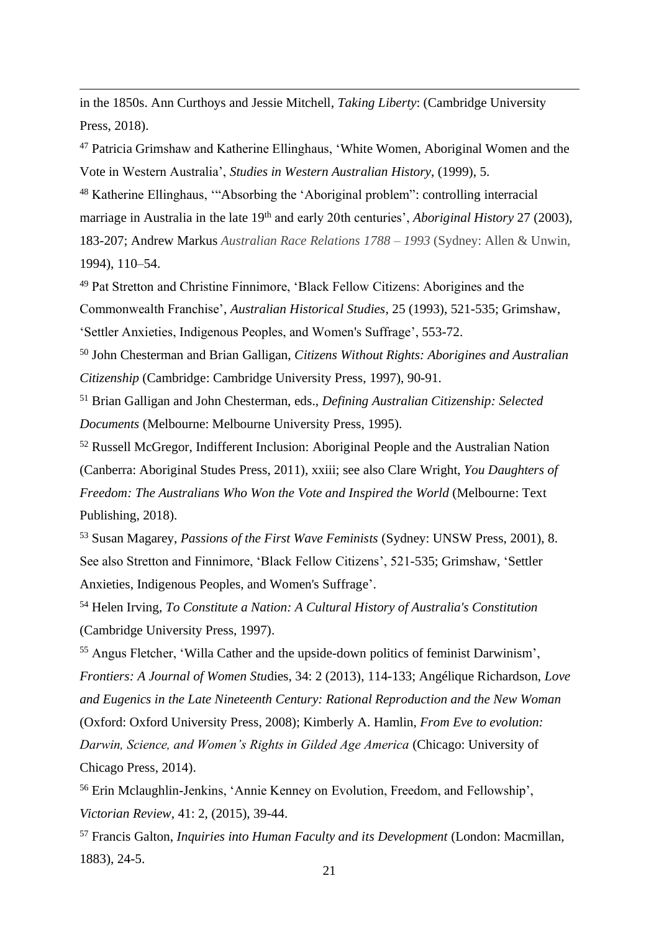in the 1850s. Ann Curthoys and Jessie Mitchell, *Taking Liberty*: (Cambridge University Press, 2018).

<sup>47</sup> Patricia Grimshaw and Katherine Ellinghaus, 'White Women, Aboriginal Women and the Vote in Western Australia', *Studies in Western Australian History*, (1999), 5.

<sup>48</sup> Katherine Ellinghaus, '"Absorbing the 'Aboriginal problem": controlling interracial marriage in Australia in the late 19<sup>th</sup> and early 20th centuries', *Aboriginal History* 27 (2003), 183-207; Andrew Markus *Australian Race Relations 1788 – 1993* (Sydney: Allen & Unwin, 1994), 110–54.

<sup>49</sup> Pat Stretton and Christine Finnimore, 'Black Fellow Citizens: Aborigines and the Commonwealth Franchise', *Australian Historical Studies*, 25 (1993), 521-535; Grimshaw, 'Settler Anxieties, Indigenous Peoples, and Women's Suffrage', 553-72.

<sup>50</sup> John Chesterman and Brian Galligan, *Citizens Without Rights: Aborigines and Australian Citizenship* (Cambridge: Cambridge University Press, 1997), 90-91.

<sup>51</sup> Brian Galligan and John Chesterman, eds., *Defining Australian Citizenship: Selected Documents* (Melbourne: Melbourne University Press, 1995).

<sup>52</sup> Russell McGregor, Indifferent Inclusion: Aboriginal People and the Australian Nation (Canberra: Aboriginal Studes Press, 2011), xxiii; see also Clare Wright, *You Daughters of Freedom: The Australians Who Won the Vote and Inspired the World* (Melbourne: Text Publishing, 2018).

<sup>53</sup> Susan Magarey, *Passions of the First Wave Feminists* (Sydney: UNSW Press, 2001), 8. See also Stretton and Finnimore, 'Black Fellow Citizens', 521-535; Grimshaw, 'Settler Anxieties, Indigenous Peoples, and Women's Suffrage'.

<sup>54</sup> Helen Irving, *To Constitute a Nation: A Cultural History of Australia's Constitution* (Cambridge University Press, 1997).

<sup>55</sup> Angus Fletcher, ['Willa Cather and the upside-down politics of feminist](https://muse.jhu.edu/article/520038/summary) Darwinism', *Frontiers: A Journal of Women Stu*dies, 34: 2 (2013), 114-133; Angélique Richardson, *Love and Eugenics in the Late Nineteenth Century: Rational Reproduction and the New Woman*  (Oxford: Oxford University Press, 2008); Kimberly A. Hamlin, *From Eve to evolution: Darwin, Science, and Women's Rights in Gilded Age America* (Chicago: University of Chicago Press, 2014).

<sup>56</sup> Erin Mclaughlin-Jenkins, 'Annie Kenney on Evolution, Freedom, and Fellowship', *Victorian Review*, 41: 2, (2015), 39-44.

<sup>57</sup> Francis Galton, *Inquiries into Human Faculty and its Development* (London: Macmillan, 1883), 24-5.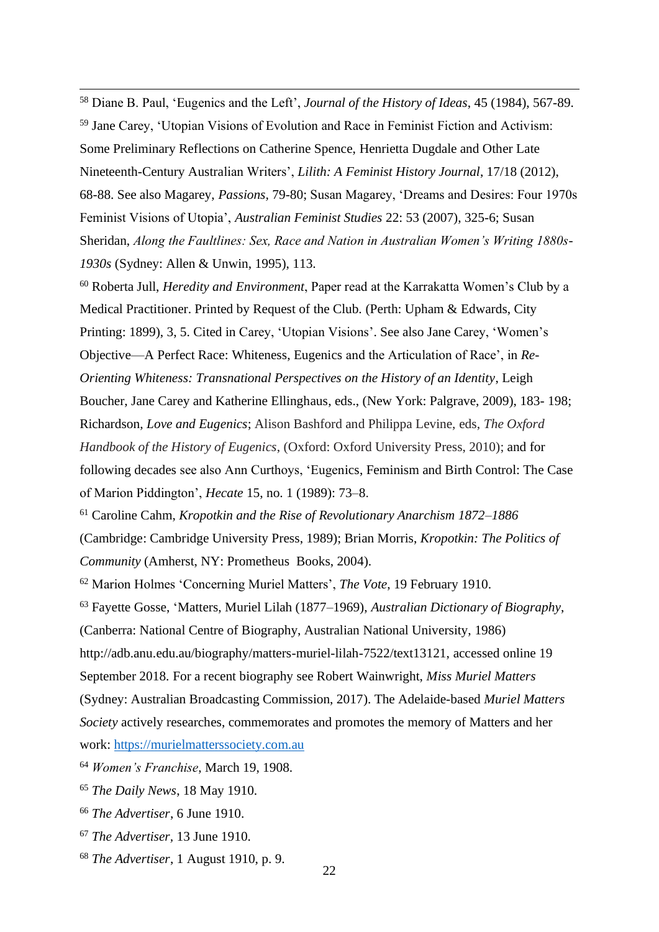<sup>58</sup> Diane B. Paul, 'Eugenics and the Left', *Journal of the History of Ideas*, 45 (1984), 567-89. <sup>59</sup> Jane Carey, 'Utopian Visions of Evolution and Race in Feminist Fiction and Activism: Some Preliminary Reflections on Catherine Spence, Henrietta Dugdale and Other Late Nineteenth-Century Australian Writers', *Lilith: A Feminist History Journal*, 17/18 (2012), 68-88. See also Magarey, *Passions,* 79-80; Susan Magarey, 'Dreams and Desires: Four 1970s Feminist Visions of Utopia', *Australian Feminist Studies* 22: 53 (2007), 325-6; Susan Sheridan, *Along the Faultlines: Sex, Race and Nation in Australian Women's Writing 1880s-1930s* (Sydney: Allen & Unwin, 1995), 113.

<sup>60</sup> Roberta Jull, *Heredity and Environment*, Paper read at the Karrakatta Women's Club by a Medical Practitioner. Printed by Request of the Club. (Perth: Upham & Edwards, City Printing: 1899), 3, 5. Cited in Carey, 'Utopian Visions'. See also Jane Carey, 'Women's Objective—A Perfect Race: Whiteness, Eugenics and the Articulation of Race', in *Re-Orienting Whiteness: Transnational Perspectives on the History of an Identity*, Leigh Boucher, Jane Carey and Katherine Ellinghaus, eds., (New York: Palgrave, 2009), 183- 198; Richardson, *Love and Eugenics*; Alison Bashford and Philippa Levine, eds, *The Oxford Handbook of the History of Eugenics*, (Oxford: Oxford University Press, 2010); and for following decades see also Ann Curthoys, 'Eugenics, Feminism and Birth Control: The Case of Marion Piddington', *Hecate* 15, no. 1 (1989): 73–8.

<sup>61</sup> Caroline Cahm, *Kropotkin and the Rise of Revolutionary Anarchism 1872–1886*  (Cambridge: Cambridge University Press, 1989); Brian Morris, *Kropotkin: The Politics of Community* (Amherst, NY: Prometheus Books, 2004).

<sup>62</sup> Marion Holmes 'Concerning Muriel Matters', *The Vote*, 19 February 1910.

<sup>63</sup> Fayette Gosse, 'Matters, Muriel Lilah (1877–1969), *Australian Dictionary of Biography*, (Canberra: National Centre of Biography, Australian National University, 1986) http://adb.anu.edu.au/biography/matters-muriel-lilah-7522/text13121, accessed online 19 September 2018. For a recent biography see Robert Wainwright, *Miss Muriel Matters* (Sydney: Australian Broadcasting Commission, 2017). The Adelaide-based *Muriel Matters Society* actively researches, commemorates and promotes the memory of Matters and her work: [https://murielmatterssociety.com.au](https://murielmatterssociety.com.au/)

- <sup>64</sup> *Women's Franchise*, March 19, 1908.
- <sup>65</sup> *The Daily News*, 18 May 1910.
- <sup>66</sup> *The Advertiser*, 6 June 1910.
- <sup>67</sup> *The Advertiser,* 13 June 1910.
- <sup>68</sup> *The Advertiser*, 1 August 1910, p. 9.